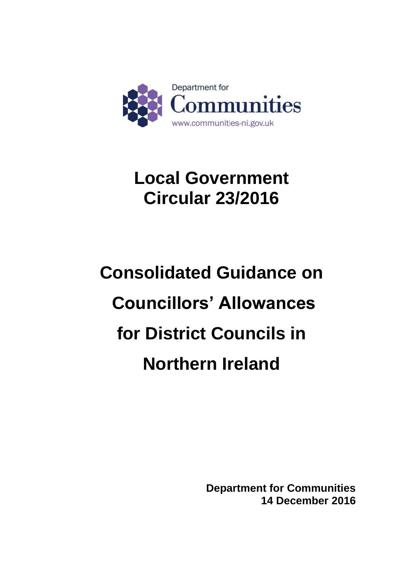

# **Local Government Circular 23/2016**

# **Consolidated Guidance on Councillors' Allowances for District Councils in Northern Ireland**

**Department for Communities 14 December 2016**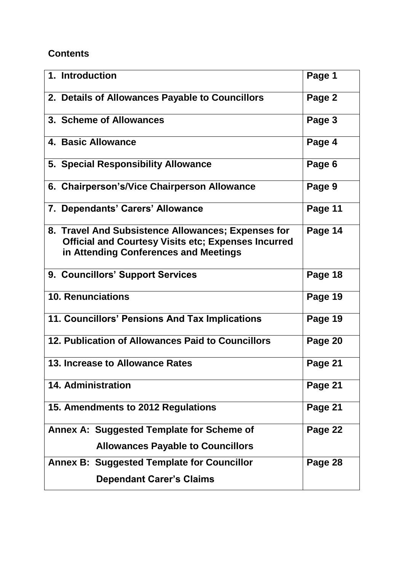# **Contents**

| 1. Introduction                                                                                                                                           | Page 1  |
|-----------------------------------------------------------------------------------------------------------------------------------------------------------|---------|
| 2. Details of Allowances Payable to Councillors                                                                                                           | Page 2  |
| 3. Scheme of Allowances                                                                                                                                   | Page 3  |
| 4. Basic Allowance                                                                                                                                        | Page 4  |
| 5. Special Responsibility Allowance                                                                                                                       | Page 6  |
| 6. Chairperson's/Vice Chairperson Allowance                                                                                                               | Page 9  |
| 7. Dependants' Carers' Allowance                                                                                                                          | Page 11 |
| 8. Travel And Subsistence Allowances; Expenses for<br><b>Official and Courtesy Visits etc; Expenses Incurred</b><br>in Attending Conferences and Meetings | Page 14 |
| 9. Councillors' Support Services                                                                                                                          | Page 18 |
| <b>10. Renunciations</b>                                                                                                                                  | Page 19 |
| 11. Councillors' Pensions And Tax Implications                                                                                                            | Page 19 |
| 12. Publication of Allowances Paid to Councillors                                                                                                         | Page 20 |
| 13. Increase to Allowance Rates                                                                                                                           | Page 21 |
| <b>14. Administration</b>                                                                                                                                 | Page 21 |
| 15. Amendments to 2012 Regulations                                                                                                                        | Page 21 |
| Annex A: Suggested Template for Scheme of                                                                                                                 | Page 22 |
| <b>Allowances Payable to Councillors</b>                                                                                                                  |         |
| <b>Annex B: Suggested Template for Councillor</b>                                                                                                         | Page 28 |
| <b>Dependant Carer's Claims</b>                                                                                                                           |         |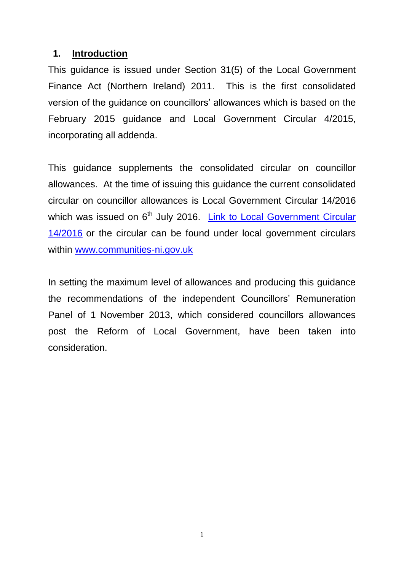#### **1. Introduction**

This guidance is issued under Section 31(5) of the Local Government Finance Act (Northern Ireland) 2011. This is the first consolidated version of the guidance on councillors' allowances which is based on the February 2015 guidance and Local Government Circular 4/2015, incorporating all addenda.

This guidance supplements the consolidated circular on councillor allowances. At the time of issuing this guidance the current consolidated circular on councillor allowances is Local Government Circular 14/2016 which was issued on 6<sup>th</sup> July 2016. Link to Local Government Circular [14/2016](https://www.communities-ni.gov.uk/sites/default/files/publications/communities/lg-circular-14-2016.PDF) or the circular can be found under local government circulars within [www.communities-ni.gov.uk](http://www.communities-ni.gov.uk/)

In setting the maximum level of allowances and producing this guidance the recommendations of the independent Councillors' Remuneration Panel of 1 November 2013, which considered councillors allowances post the Reform of Local Government, have been taken into consideration.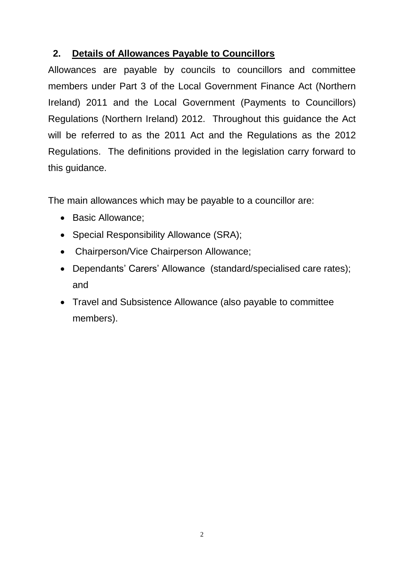# **2. Details of Allowances Payable to Councillors**

Allowances are payable by councils to councillors and committee members under Part 3 of the Local Government Finance Act (Northern Ireland) 2011 and the Local Government (Payments to Councillors) Regulations (Northern Ireland) 2012. Throughout this guidance the Act will be referred to as the 2011 Act and the Regulations as the 2012 Regulations. The definitions provided in the legislation carry forward to this guidance.

The main allowances which may be payable to a councillor are:

- Basic Allowance:
- Special Responsibility Allowance (SRA);
- Chairperson/Vice Chairperson Allowance;
- Dependants' Carers' Allowance (standard/specialised care rates); and
- Travel and Subsistence Allowance (also payable to committee members).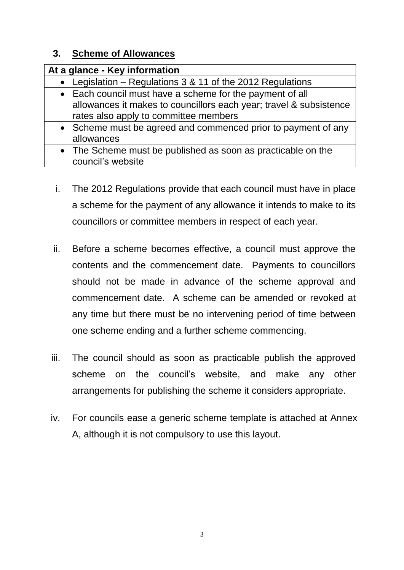# **3. Scheme of Allowances**

| At a glance - Key information                                      |
|--------------------------------------------------------------------|
| • Legislation – Regulations 3 & 11 of the 2012 Regulations         |
| • Each council must have a scheme for the payment of all           |
| allowances it makes to councillors each year; travel & subsistence |
| rates also apply to committee members                              |
| • Scheme must be agreed and commenced prior to payment of any      |
| allowances                                                         |
| • The Scheme must be published as soon as practicable on the       |
| council's website                                                  |

- i. The 2012 Regulations provide that each council must have in place a scheme for the payment of any allowance it intends to make to its councillors or committee members in respect of each year.
- ii. Before a scheme becomes effective, a council must approve the contents and the commencement date. Payments to councillors should not be made in advance of the scheme approval and commencement date. A scheme can be amended or revoked at any time but there must be no intervening period of time between one scheme ending and a further scheme commencing.
- iii. The council should as soon as practicable publish the approved scheme on the council's website, and make any other arrangements for publishing the scheme it considers appropriate.
- iv. For councils ease a generic scheme template is attached at Annex A, although it is not compulsory to use this layout.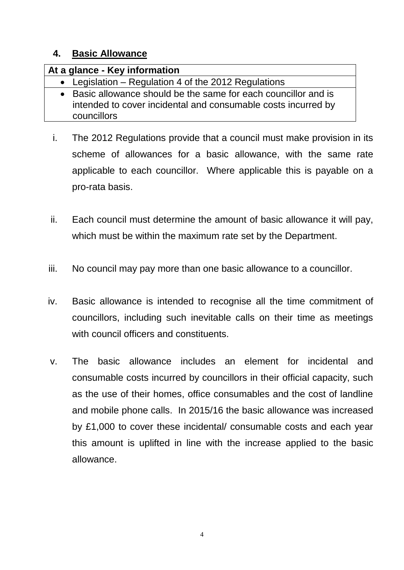#### **4. Basic Allowance**

| At a glance - Key information                                                                                                                   |
|-------------------------------------------------------------------------------------------------------------------------------------------------|
| • Legislation – Regulation 4 of the 2012 Regulations                                                                                            |
| • Basic allowance should be the same for each councillor and is<br>intended to cover incidental and consumable costs incurred by<br>councillors |

- i. The 2012 Regulations provide that a council must make provision in its scheme of allowances for a basic allowance, with the same rate applicable to each councillor. Where applicable this is payable on a pro-rata basis.
- ii. Each council must determine the amount of basic allowance it will pay, which must be within the maximum rate set by the Department.
- iii. No council may pay more than one basic allowance to a councillor.
- iv. Basic allowance is intended to recognise all the time commitment of councillors, including such inevitable calls on their time as meetings with council officers and constituents.
- v. The basic allowance includes an element for incidental and consumable costs incurred by councillors in their official capacity, such as the use of their homes, office consumables and the cost of landline and mobile phone calls. In 2015/16 the basic allowance was increased by £1,000 to cover these incidental/ consumable costs and each year this amount is uplifted in line with the increase applied to the basic allowance.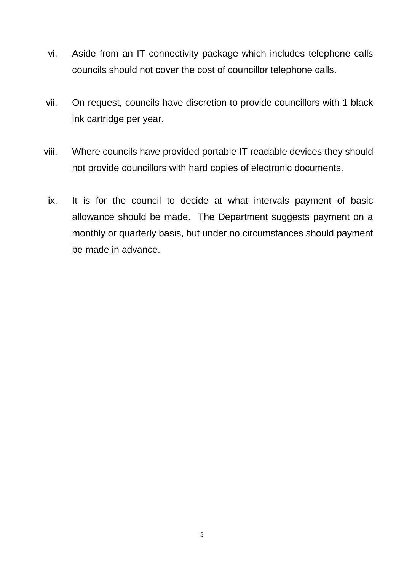- vi. Aside from an IT connectivity package which includes telephone calls councils should not cover the cost of councillor telephone calls.
- vii. On request, councils have discretion to provide councillors with 1 black ink cartridge per year.
- viii. Where councils have provided portable IT readable devices they should not provide councillors with hard copies of electronic documents.
- ix. It is for the council to decide at what intervals payment of basic allowance should be made. The Department suggests payment on a monthly or quarterly basis, but under no circumstances should payment be made in advance.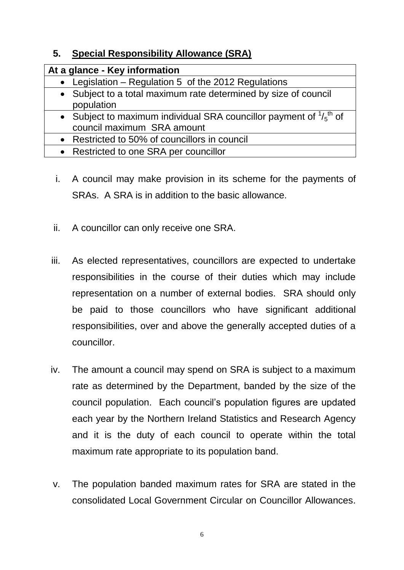# **5. Special Responsibility Allowance (SRA)**

| At a glance - Key information                                                                                          |
|------------------------------------------------------------------------------------------------------------------------|
| • Legislation – Regulation 5 of the 2012 Regulations                                                                   |
| • Subject to a total maximum rate determined by size of council<br>population                                          |
| • Subject to maximum individual SRA councillor payment of $\frac{1}{5}$ <sup>th</sup> of<br>council maximum SRA amount |
| • Restricted to 50% of councillors in council                                                                          |
| • Restricted to one SRA per councillor                                                                                 |

- i. A council may make provision in its scheme for the payments of SRAs. A SRA is in addition to the basic allowance.
- ii. A councillor can only receive one SRA.
- iii. As elected representatives, councillors are expected to undertake responsibilities in the course of their duties which may include representation on a number of external bodies. SRA should only be paid to those councillors who have significant additional responsibilities, over and above the generally accepted duties of a councillor.
- iv. The amount a council may spend on SRA is subject to a maximum rate as determined by the Department, banded by the size of the council population. Each council's population figures are updated each year by the Northern Ireland Statistics and Research Agency and it is the duty of each council to operate within the total maximum rate appropriate to its population band.
- v. The population banded maximum rates for SRA are stated in the consolidated Local Government Circular on Councillor Allowances.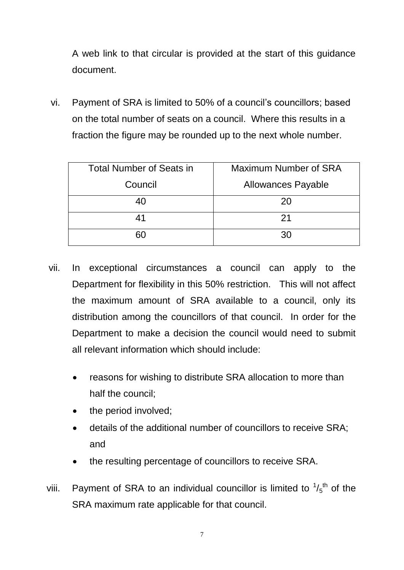A web link to that circular is provided at the start of this guidance document.

vi. Payment of SRA is limited to 50% of a council's councillors; based on the total number of seats on a council. Where this results in a fraction the figure may be rounded up to the next whole number.

| <b>Total Number of Seats in</b> | Maximum Number of SRA     |
|---------------------------------|---------------------------|
| Council                         | <b>Allowances Payable</b> |
| 40                              | 20                        |
| 41                              | 21                        |
| 60                              | 30                        |

- vii. In exceptional circumstances a council can apply to the Department for flexibility in this 50% restriction. This will not affect the maximum amount of SRA available to a council, only its distribution among the councillors of that council. In order for the Department to make a decision the council would need to submit all relevant information which should include:
	- reasons for wishing to distribute SRA allocation to more than half the council;
	- the period involved;
	- details of the additional number of councillors to receive SRA; and
	- the resulting percentage of councillors to receive SRA.
- viii. Payment of SRA to an individual councillor is limited to  $\frac{1}{5}$ <sup>th</sup> of the SRA maximum rate applicable for that council.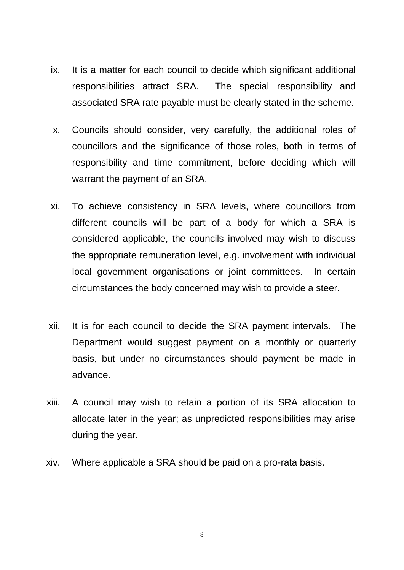- ix. It is a matter for each council to decide which significant additional responsibilities attract SRA. The special responsibility and associated SRA rate payable must be clearly stated in the scheme.
- x. Councils should consider, very carefully, the additional roles of councillors and the significance of those roles, both in terms of responsibility and time commitment, before deciding which will warrant the payment of an SRA.
- xi. To achieve consistency in SRA levels, where councillors from different councils will be part of a body for which a SRA is considered applicable, the councils involved may wish to discuss the appropriate remuneration level, e.g. involvement with individual local government organisations or joint committees. In certain circumstances the body concerned may wish to provide a steer.
- xii. It is for each council to decide the SRA payment intervals. The Department would suggest payment on a monthly or quarterly basis, but under no circumstances should payment be made in advance.
- xiii. A council may wish to retain a portion of its SRA allocation to allocate later in the year; as unpredicted responsibilities may arise during the year.
- xiv. Where applicable a SRA should be paid on a pro-rata basis.

8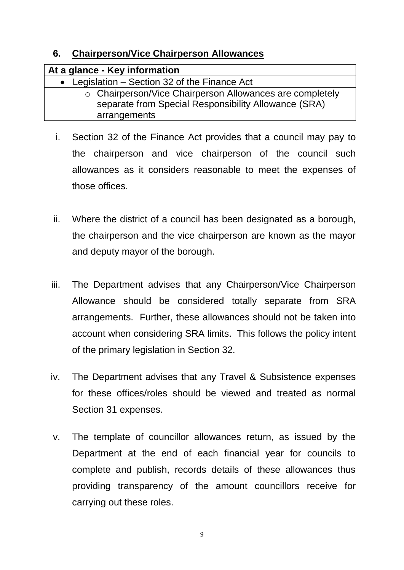### **6. Chairperson/Vice Chairperson Allowances**

| At a glance - Key information                            |
|----------------------------------------------------------|
| • Legislation – Section 32 of the Finance Act            |
| ○ Chairperson/Vice Chairperson Allowances are completely |
| separate from Special Responsibility Allowance (SRA)     |
| arrangements                                             |

- i. Section 32 of the Finance Act provides that a council may pay to the chairperson and vice chairperson of the council such allowances as it considers reasonable to meet the expenses of those offices.
- ii. Where the district of a council has been designated as a borough, the chairperson and the vice chairperson are known as the mayor and deputy mayor of the borough.
- iii. The Department advises that any Chairperson/Vice Chairperson Allowance should be considered totally separate from SRA arrangements. Further, these allowances should not be taken into account when considering SRA limits. This follows the policy intent of the primary legislation in Section 32.
- iv. The Department advises that any Travel & Subsistence expenses for these offices/roles should be viewed and treated as normal Section 31 expenses.
- v. The template of councillor allowances return, as issued by the Department at the end of each financial year for councils to complete and publish, records details of these allowances thus providing transparency of the amount councillors receive for carrying out these roles.

9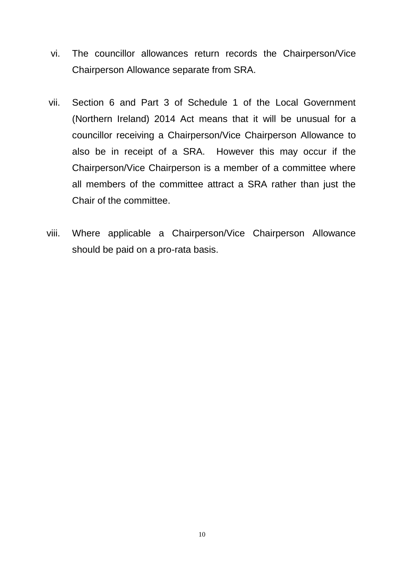- vi. The councillor allowances return records the Chairperson/Vice Chairperson Allowance separate from SRA.
- vii. Section 6 and Part 3 of Schedule 1 of the Local Government (Northern Ireland) 2014 Act means that it will be unusual for a councillor receiving a Chairperson/Vice Chairperson Allowance to also be in receipt of a SRA. However this may occur if the Chairperson/Vice Chairperson is a member of a committee where all members of the committee attract a SRA rather than just the Chair of the committee.
- viii. Where applicable a Chairperson/Vice Chairperson Allowance should be paid on a pro-rata basis.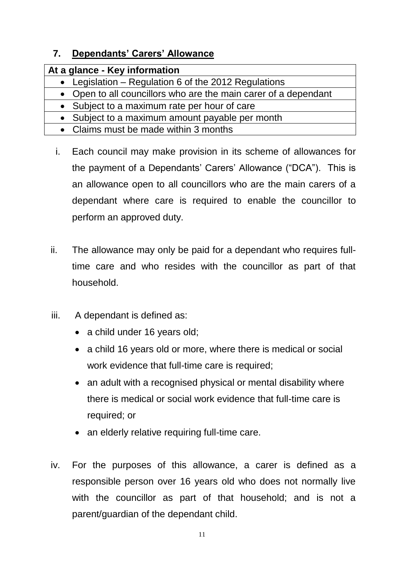# **7. Dependants' Carers' Allowance**

| At a glance - Key information                                   |
|-----------------------------------------------------------------|
| • Legislation – Regulation 6 of the 2012 Regulations            |
| • Open to all councillors who are the main carer of a dependant |
| • Subject to a maximum rate per hour of care                    |
| • Subject to a maximum amount payable per month                 |
| • Claims must be made within 3 months                           |

- i. Each council may make provision in its scheme of allowances for the payment of a Dependants' Carers' Allowance ("DCA"). This is an allowance open to all councillors who are the main carers of a dependant where care is required to enable the councillor to perform an approved duty.
- ii. The allowance may only be paid for a dependant who requires fulltime care and who resides with the councillor as part of that household.
- iii. A dependant is defined as:
	- a child under 16 years old;
	- a child 16 years old or more, where there is medical or social work evidence that full-time care is required;
	- an adult with a recognised physical or mental disability where there is medical or social work evidence that full-time care is required; or
	- an elderly relative requiring full-time care.
- iv. For the purposes of this allowance, a carer is defined as a responsible person over 16 years old who does not normally live with the councillor as part of that household; and is not a parent/guardian of the dependant child.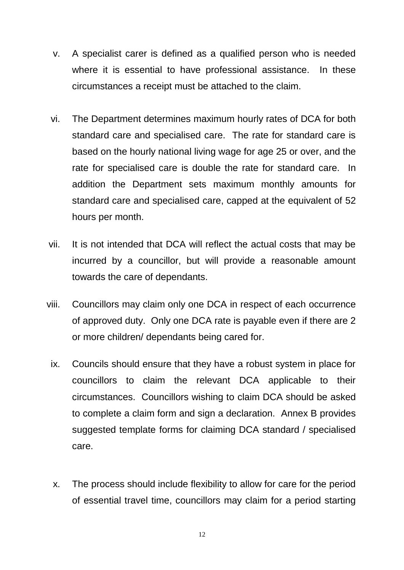- v. A specialist carer is defined as a qualified person who is needed where it is essential to have professional assistance. In these circumstances a receipt must be attached to the claim.
- vi. The Department determines maximum hourly rates of DCA for both standard care and specialised care. The rate for standard care is based on the hourly national living wage for age 25 or over, and the rate for specialised care is double the rate for standard care. In addition the Department sets maximum monthly amounts for standard care and specialised care, capped at the equivalent of 52 hours per month.
- vii. It is not intended that DCA will reflect the actual costs that may be incurred by a councillor, but will provide a reasonable amount towards the care of dependants.
- viii. Councillors may claim only one DCA in respect of each occurrence of approved duty. Only one DCA rate is payable even if there are 2 or more children/ dependants being cared for.
	- ix. Councils should ensure that they have a robust system in place for councillors to claim the relevant DCA applicable to their circumstances. Councillors wishing to claim DCA should be asked to complete a claim form and sign a declaration. Annex B provides suggested template forms for claiming DCA standard / specialised care.
	- x. The process should include flexibility to allow for care for the period of essential travel time, councillors may claim for a period starting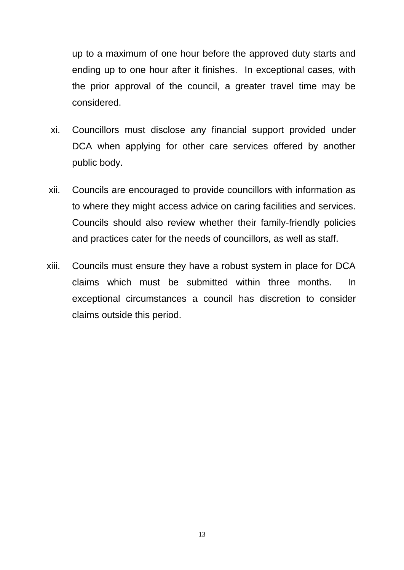up to a maximum of one hour before the approved duty starts and ending up to one hour after it finishes. In exceptional cases, with the prior approval of the council, a greater travel time may be considered.

- xi. Councillors must disclose any financial support provided under DCA when applying for other care services offered by another public body.
- xii. Councils are encouraged to provide councillors with information as to where they might access advice on caring facilities and services. Councils should also review whether their family-friendly policies and practices cater for the needs of councillors, as well as staff.
- xiii. Councils must ensure they have a robust system in place for DCA claims which must be submitted within three months. In exceptional circumstances a council has discretion to consider claims outside this period.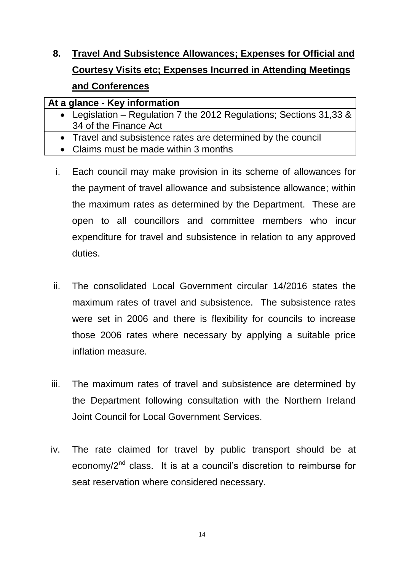**8. Travel And Subsistence Allowances; Expenses for Official and Courtesy Visits etc; Expenses Incurred in Attending Meetings and Conferences** 

# **At a glance - Key information**

- Legislation Regulation 7 the 2012 Regulations; Sections 31,33 & 34 of the Finance Act
- Travel and subsistence rates are determined by the council
- Claims must be made within 3 months
- i. Each council may make provision in its scheme of allowances for the payment of travel allowance and subsistence allowance; within the maximum rates as determined by the Department. These are open to all councillors and committee members who incur expenditure for travel and subsistence in relation to any approved duties.
- ii. The consolidated Local Government circular 14/2016 states the maximum rates of travel and subsistence. The subsistence rates were set in 2006 and there is flexibility for councils to increase those 2006 rates where necessary by applying a suitable price inflation measure.
- iii. The maximum rates of travel and subsistence are determined by the Department following consultation with the Northern Ireland Joint Council for Local Government Services.
- iv. The rate claimed for travel by public transport should be at economy/2<sup>nd</sup> class. It is at a council's discretion to reimburse for seat reservation where considered necessary.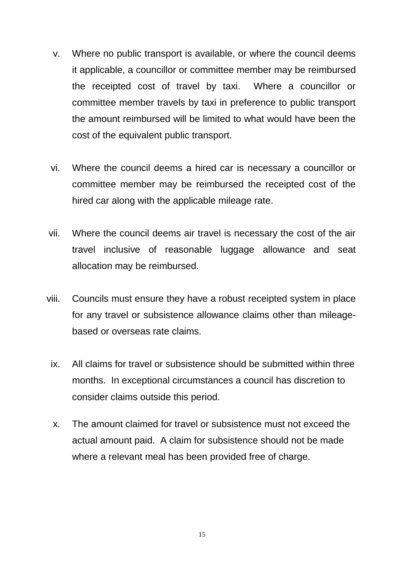- v. Where no public transport is available, or where the council deems it applicable, a councillor or committee member may be reimbursed the receipted cost of travel by taxi. Where a councillor or committee member travels by taxi in preference to public transport the amount reimbursed will be limited to what would have been the cost of the equivalent public transport.
- vi. Where the council deems a hired car is necessary a councillor or committee member may be reimbursed the receipted cost of the hired car along with the applicable mileage rate.
- vii. Where the council deems air travel is necessary the cost of the air travel inclusive of reasonable luggage allowance and seat allocation may be reimbursed.
- viii. Councils must ensure they have a robust receipted system in place for any travel or subsistence allowance claims other than mileagebased or overseas rate claims.
	- ix. All claims for travel or subsistence should be submitted within three months. In exceptional circumstances a council has discretion to consider claims outside this period.
	- x. The amount claimed for travel or subsistence must not exceed the actual amount paid. A claim for subsistence should not be made where a relevant meal has been provided free of charge.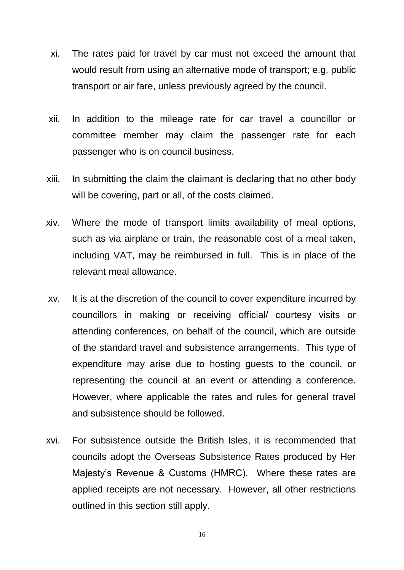- xi. The rates paid for travel by car must not exceed the amount that would result from using an alternative mode of transport; e.g. public transport or air fare, unless previously agreed by the council.
- xii. In addition to the mileage rate for car travel a councillor or committee member may claim the passenger rate for each passenger who is on council business.
- xiii. In submitting the claim the claimant is declaring that no other body will be covering, part or all, of the costs claimed.
- xiv. Where the mode of transport limits availability of meal options, such as via airplane or train, the reasonable cost of a meal taken, including VAT, may be reimbursed in full. This is in place of the relevant meal allowance.
- xv. It is at the discretion of the council to cover expenditure incurred by councillors in making or receiving official/ courtesy visits or attending conferences, on behalf of the council, which are outside of the standard travel and subsistence arrangements. This type of expenditure may arise due to hosting guests to the council, or representing the council at an event or attending a conference. However, where applicable the rates and rules for general travel and subsistence should be followed.
- xvi. For subsistence outside the British Isles, it is recommended that councils adopt the Overseas Subsistence Rates produced by Her Majesty's Revenue & Customs (HMRC). Where these rates are applied receipts are not necessary. However, all other restrictions outlined in this section still apply.

16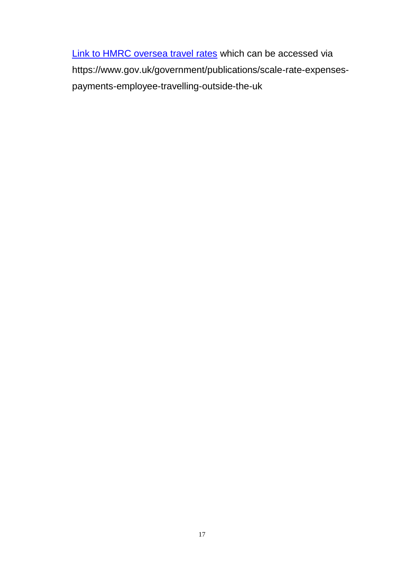[Link to HMRC oversea travel rates](https://www.gov.uk/government/publications/scale-rate-expenses-payments-employee-travelling-outside-the-uk) which can be accessed via https://www.gov.uk/government/publications/scale-rate-expensespayments-employee-travelling-outside-the-uk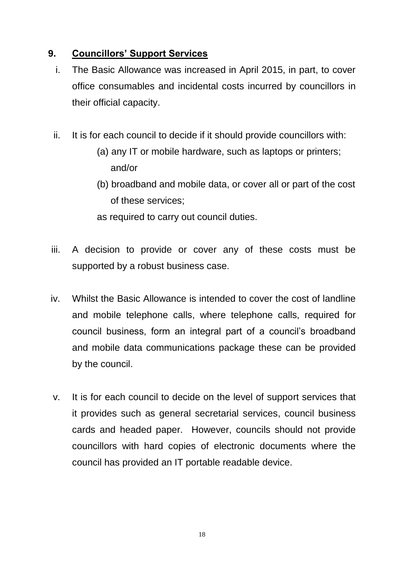# **9. Councillors' Support Services**

- i. The Basic Allowance was increased in April 2015, in part, to cover office consumables and incidental costs incurred by councillors in their official capacity.
- ii. It is for each council to decide if it should provide councillors with:
	- (a) any IT or mobile hardware, such as laptops or printers; and/or
	- (b) broadband and mobile data, or cover all or part of the cost of these services;

as required to carry out council duties.

- iii. A decision to provide or cover any of these costs must be supported by a robust business case.
- iv. Whilst the Basic Allowance is intended to cover the cost of landline and mobile telephone calls, where telephone calls, required for council business, form an integral part of a council's broadband and mobile data communications package these can be provided by the council.
- v. It is for each council to decide on the level of support services that it provides such as general secretarial services, council business cards and headed paper. However, councils should not provide councillors with hard copies of electronic documents where the council has provided an IT portable readable device.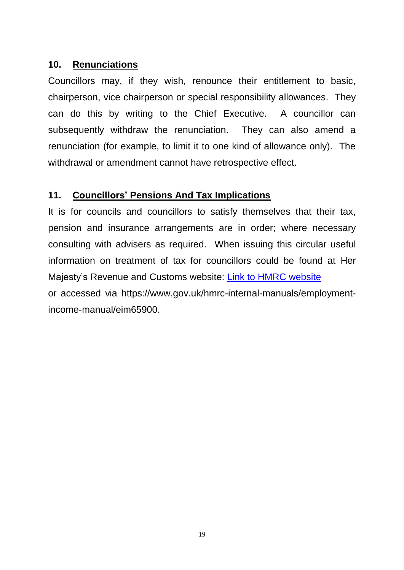#### **10. Renunciations**

Councillors may, if they wish, renounce their entitlement to basic, chairperson, vice chairperson or special responsibility allowances. They can do this by writing to the Chief Executive. A councillor can subsequently withdraw the renunciation. They can also amend a renunciation (for example, to limit it to one kind of allowance only). The withdrawal or amendment cannot have retrospective effect.

# **11. Councillors' Pensions And Tax Implications**

It is for councils and councillors to satisfy themselves that their tax, pension and insurance arrangements are in order; where necessary consulting with advisers as required. When issuing this circular useful information on treatment of tax for councillors could be found at Her Majesty's Revenue and Customs website: [Link to HMRC website](https://www.gov.uk/hmrc-internal-manuals/employment-income-manual/eim65900) or accessed via https://www.gov.uk/hmrc-internal-manuals/employmentincome-manual/eim65900.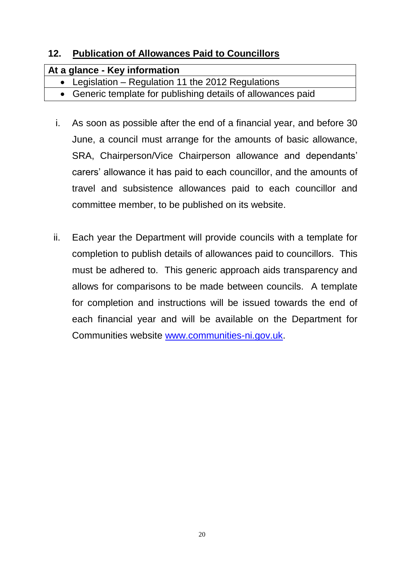# **12. Publication of Allowances Paid to Councillors**

| At a glance - Key information                                |  |
|--------------------------------------------------------------|--|
| • Legislation – Regulation 11 the 2012 Regulations           |  |
| • Generic template for publishing details of allowances paid |  |

- i. As soon as possible after the end of a financial year, and before 30 June, a council must arrange for the amounts of basic allowance, SRA, Chairperson/Vice Chairperson allowance and dependants' carers' allowance it has paid to each councillor, and the amounts of travel and subsistence allowances paid to each councillor and committee member, to be published on its website.
- ii. Each year the Department will provide councils with a template for completion to publish details of allowances paid to councillors. This must be adhered to. This generic approach aids transparency and allows for comparisons to be made between councils. A template for completion and instructions will be issued towards the end of each financial year and will be available on the Department for Communities website [www.communities-ni.gov.uk.](http://www.communities-ni.gov.uk/)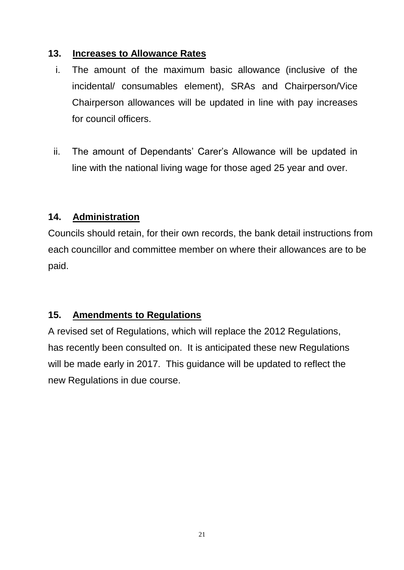# **13. Increases to Allowance Rates**

- i. The amount of the maximum basic allowance (inclusive of the incidental/ consumables element), SRAs and Chairperson/Vice Chairperson allowances will be updated in line with pay increases for council officers.
- ii. The amount of Dependants' Carer's Allowance will be updated in line with the national living wage for those aged 25 year and over.

# **14. Administration**

Councils should retain, for their own records, the bank detail instructions from each councillor and committee member on where their allowances are to be paid.

# **15. Amendments to Regulations**

A revised set of Regulations, which will replace the 2012 Regulations, has recently been consulted on. It is anticipated these new Regulations will be made early in 2017. This guidance will be updated to reflect the new Regulations in due course.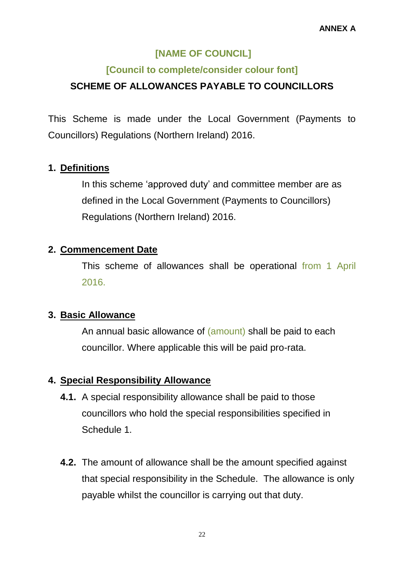# **[NAME OF COUNCIL]**

# **[Council to complete/consider colour font]**

# **SCHEME OF ALLOWANCES PAYABLE TO COUNCILLORS**

This Scheme is made under the Local Government (Payments to Councillors) Regulations (Northern Ireland) 2016.

# **1. Definitions**

In this scheme 'approved duty' and committee member are as defined in the Local Government (Payments to Councillors) Regulations (Northern Ireland) 2016.

#### **2. Commencement Date**

This scheme of allowances shall be operational from 1 April 2016.

#### **3. Basic Allowance**

An annual basic allowance of (amount) shall be paid to each councillor. Where applicable this will be paid pro-rata.

# **4. Special Responsibility Allowance**

- **4.1.** A special responsibility allowance shall be paid to those councillors who hold the special responsibilities specified in Schedule 1.
- **4.2.** The amount of allowance shall be the amount specified against that special responsibility in the Schedule. The allowance is only payable whilst the councillor is carrying out that duty.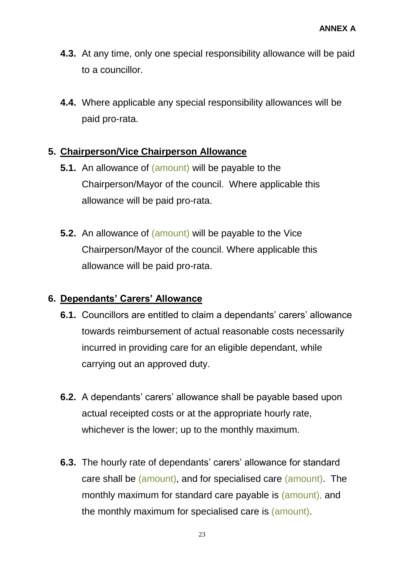- **4.3.** At any time, only one special responsibility allowance will be paid to a councillor.
- **4.4.** Where applicable any special responsibility allowances will be paid pro-rata.

# **5. Chairperson/Vice Chairperson Allowance**

- **5.1.** An allowance of (amount) will be payable to the Chairperson/Mayor of the council. Where applicable this allowance will be paid pro-rata.
- **5.2.** An allowance of (amount) will be payable to the Vice Chairperson/Mayor of the council. Where applicable this allowance will be paid pro-rata.

#### **6. Dependants' Carers' Allowance**

- **6.1.** Councillors are entitled to claim a dependants' carers' allowance towards reimbursement of actual reasonable costs necessarily incurred in providing care for an eligible dependant, while carrying out an approved duty.
- **6.2.** A dependants' carers' allowance shall be payable based upon actual receipted costs or at the appropriate hourly rate, whichever is the lower; up to the monthly maximum.
- **6.3.** The hourly rate of dependants' carers' allowance for standard care shall be (amount), and for specialised care (amount). The monthly maximum for standard care payable is (amount), and the monthly maximum for specialised care is (amount).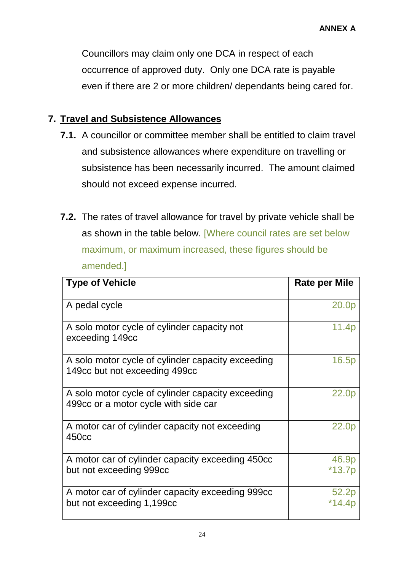Councillors may claim only one DCA in respect of each occurrence of approved duty. Only one DCA rate is payable even if there are 2 or more children/ dependants being cared for.

# **7. Travel and Subsistence Allowances**

- **7.1.** A councillor or committee member shall be entitled to claim travel and subsistence allowances where expenditure on travelling or subsistence has been necessarily incurred. The amount claimed should not exceed expense incurred.
- **7.2.** The rates of travel allowance for travel by private vehicle shall be as shown in the table below. [Where council rates are set below maximum, or maximum increased, these figures should be amended.]

| <b>Type of Vehicle</b>                                                                    | <b>Rate per Mile</b> |
|-------------------------------------------------------------------------------------------|----------------------|
| A pedal cycle                                                                             | 20.0p                |
| A solo motor cycle of cylinder capacity not<br>exceeding 149cc                            | 11.4 <sub>p</sub>    |
| A solo motor cycle of cylinder capacity exceeding<br>149cc but not exceeding 499cc        | 16.5p                |
| A solo motor cycle of cylinder capacity exceeding<br>499cc or a motor cycle with side car | 22.0 <sub>p</sub>    |
| A motor car of cylinder capacity not exceeding<br>450 <sub>cc</sub>                       | 22.0 <sub>p</sub>    |
| A motor car of cylinder capacity exceeding 450cc<br>but not exceeding 999cc               | 46.9p<br>$*13.7p$    |
| A motor car of cylinder capacity exceeding 999cc<br>but not exceeding 1,199cc             | 52.2 <sup>p</sup>    |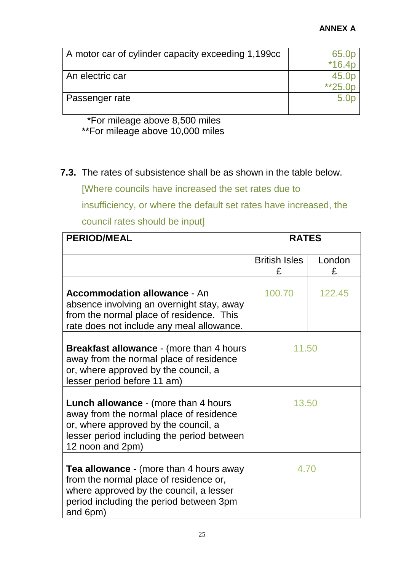#### **ANNEX A**

| A motor car of cylinder capacity exceeding 1,199cc | 65.0p            |
|----------------------------------------------------|------------------|
|                                                    | $*16.4p$         |
| An electric car                                    | 45.0p            |
|                                                    | $*25.0p$         |
| Passenger rate                                     | 5.0 <sub>p</sub> |
|                                                    |                  |

# \*For mileage above 8,500 miles \*\*For mileage above 10,000 miles

# **7.3.** The rates of subsistence shall be as shown in the table below.

[Where councils have increased the set rates due to

insufficiency, or where the default set rates have increased, the

council rates should be input]

| <b>PERIOD/MEAL</b>                                                                                                                                                                                | <b>RATES</b>              |             |
|---------------------------------------------------------------------------------------------------------------------------------------------------------------------------------------------------|---------------------------|-------------|
|                                                                                                                                                                                                   | <b>British Isles</b><br>£ | London<br>£ |
| <b>Accommodation allowance - An</b><br>absence involving an overnight stay, away<br>from the normal place of residence. This<br>rate does not include any meal allowance.                         | 100.70                    | 122.45      |
| <b>Breakfast allowance - (more than 4 hours)</b><br>away from the normal place of residence<br>or, where approved by the council, a<br>lesser period before 11 am)                                | 11.50                     |             |
| <b>Lunch allowance - (more than 4 hours)</b><br>away from the normal place of residence<br>or, where approved by the council, a<br>lesser period including the period between<br>12 noon and 2pm) | 13.50                     |             |
| <b>Tea allowance</b> - (more than 4 hours away<br>from the normal place of residence or,<br>where approved by the council, a lesser<br>period including the period between 3pm<br>and 6pm)        | 4.70                      |             |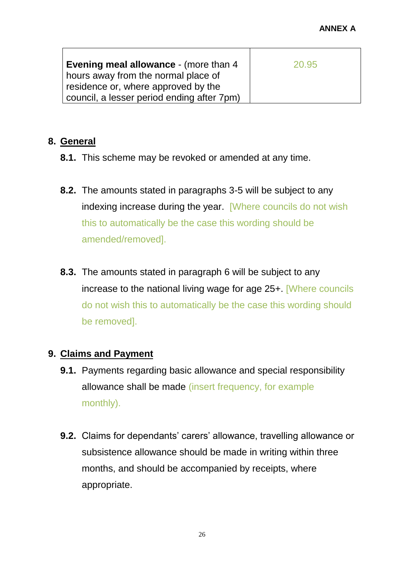| Evening meal allowance - (more than 4      | 20.95 |
|--------------------------------------------|-------|
| hours away from the normal place of        |       |
| residence or, where approved by the        |       |
| council, a lesser period ending after 7pm) |       |

# **8. General**

- **8.1.** This scheme may be revoked or amended at any time.
- **8.2.** The amounts stated in paragraphs 3-5 will be subject to any indexing increase during the year. [Where councils do not wish this to automatically be the case this wording should be amended/removed].
- **8.3.** The amounts stated in paragraph 6 will be subject to any increase to the national living wage for age 25+. [Where councils do not wish this to automatically be the case this wording should be removed].

#### **9. Claims and Payment**

- **9.1.** Payments regarding basic allowance and special responsibility allowance shall be made (insert frequency, for example monthly).
- **9.2.** Claims for dependants' carers' allowance, travelling allowance or subsistence allowance should be made in writing within three months, and should be accompanied by receipts, where appropriate.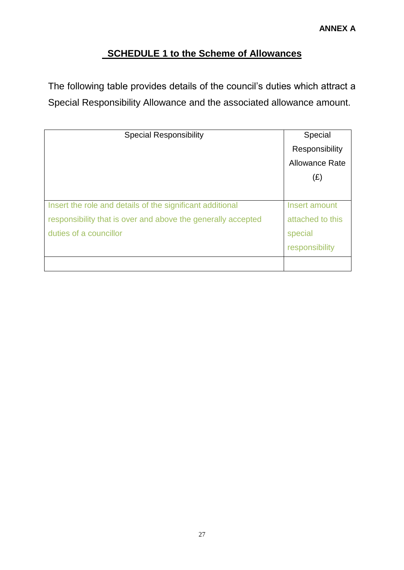# **SCHEDULE 1 to the Scheme of Allowances**

The following table provides details of the council's duties which attract a Special Responsibility Allowance and the associated allowance amount.

| <b>Special Responsibility</b>                                | Special               |
|--------------------------------------------------------------|-----------------------|
|                                                              | Responsibility        |
|                                                              | <b>Allowance Rate</b> |
|                                                              | (E)                   |
|                                                              |                       |
| Insert the role and details of the significant additional    | Insert amount         |
| responsibility that is over and above the generally accepted | attached to this      |
| duties of a councillor                                       | special               |
|                                                              | responsibility        |
|                                                              |                       |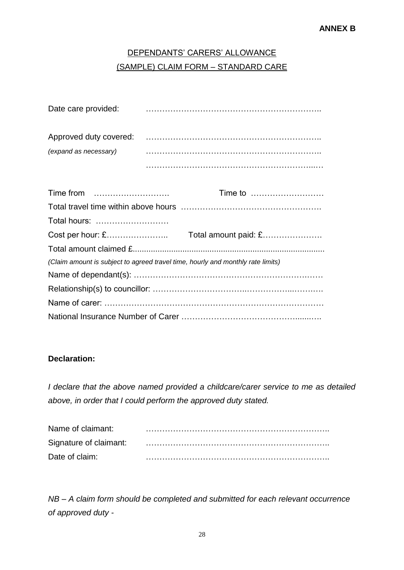# DEPENDANTS' CARERS' ALLOWANCE (SAMPLE) CLAIM FORM – STANDARD CARE

| Date care provided:    |  |
|------------------------|--|
| Approved duty covered: |  |
| (expand as necessary)  |  |
|                        |  |

|                                                                                 | Time to |
|---------------------------------------------------------------------------------|---------|
|                                                                                 |         |
|                                                                                 |         |
|                                                                                 |         |
|                                                                                 |         |
| (Claim amount is subject to agreed travel time, hourly and monthly rate limits) |         |
|                                                                                 |         |
|                                                                                 |         |
|                                                                                 |         |
|                                                                                 |         |

#### **Declaration:**

*I declare that the above named provided a childcare/carer service to me as detailed above, in order that I could perform the approved duty stated.*

| Name of claimant: |  |
|-------------------|--|
|                   |  |
| Date of claim:    |  |

*NB – A claim form should be completed and submitted for each relevant occurrence of approved duty -*